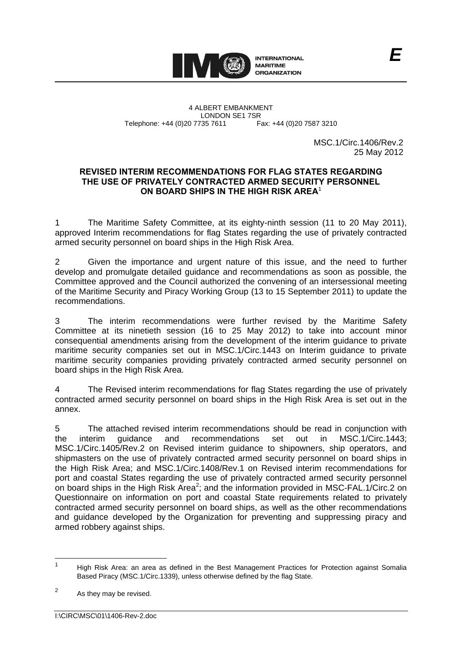

4 ALBERT EMBANKMENT Telephone: +44 (0)20 7735 7611

LONDON SE1 7SR<br>735 7611 Fax: +44 (0)20 7587 3210

MSC.1/Circ.1406/Rev.2 25 May 2012

## **REVISED INTERIM RECOMMENDATIONS FOR FLAG STATES REGARDING THE USE OF PRIVATELY CONTRACTED ARMED SECURITY PERSONNEL ON BOARD SHIPS IN THE HIGH RISK AREA**<sup>1</sup>

1 The Maritime Safety Committee, at its eighty-ninth session (11 to 20 May 2011), approved Interim recommendations for flag States regarding the use of privately contracted armed security personnel on board ships in the High Risk Area.

2 Given the importance and urgent nature of this issue, and the need to further develop and promulgate detailed guidance and recommendations as soon as possible, the Committee approved and the Council authorized the convening of an intersessional meeting of the Maritime Security and Piracy Working Group (13 to 15 September 2011) to update the recommendations.

3 The interim recommendations were further revised by the Maritime Safety Committee at its ninetieth session (16 to 25 May 2012) to take into account minor consequential amendments arising from the development of the interim guidance to private maritime security companies set out in MSC.1/Circ.1443 on Interim guidance to private maritime security companies providing privately contracted armed security personnel on board ships in the High Risk Area.

4 The Revised interim recommendations for flag States regarding the use of privately contracted armed security personnel on board ships in the High Risk Area is set out in the annex.

5 The attached revised interim recommendations should be read in conjunction with the interim quidance and recommendations set out in MSC.1/Circ.1443 the interim guidance and recommendations set out in MSC.1/Circ.1443; MSC.1/Circ.1405/Rev.2 on Revised interim guidance to shipowners, ship operators, and shipmasters on the use of privately contracted armed security personnel on board ships in the High Risk Area; and MSC.1/Circ.1408/Rev.1 on Revised interim recommendations for port and coastal States regarding the use of privately contracted armed security personnel on board ships in the High Risk Area<sup>2</sup>; and the information provided in MSC-FAL.1/Circ.2 on Questionnaire on information on port and coastal State requirements related to privately contracted armed security personnel on board ships, as well as the other recommendations and guidance developed by the Organization for preventing and suppressing piracy and armed robbery against ships.

 $\frac{1}{1}$ High Risk Area: an area as defined in the Best Management Practices for Protection against Somalia Based Piracy (MSC.1/Circ.1339), unless otherwise defined by the flag State.

 $\overline{2}$ As they may be revised.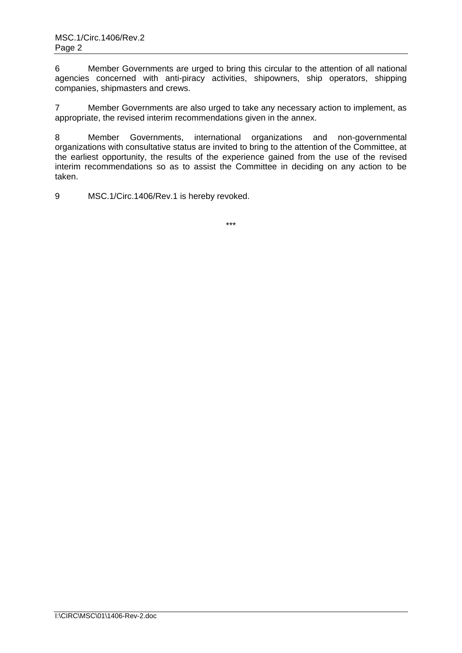6 Member Governments are urged to bring this circular to the attention of all national agencies concerned with anti-piracy activities, shipowners, ship operators, shipping companies, shipmasters and crews.

7 Member Governments are also urged to take any necessary action to implement, as appropriate, the revised interim recommendations given in the annex.

8 Member Governments, international organizations and non-governmental organizations with consultative status are invited to bring to the attention of the Committee, at the earliest opportunity, the results of the experience gained from the use of the revised interim recommendations so as to assist the Committee in deciding on any action to be taken.

9 MSC.1/Circ.1406/Rev.1 is hereby revoked.

\*\*\*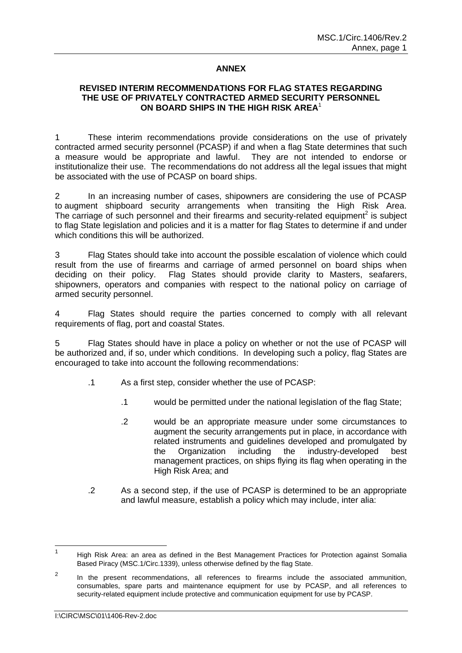## **ANNEX**

## **REVISED INTERIM RECOMMENDATIONS FOR FLAG STATES REGARDING THE USE OF PRIVATELY CONTRACTED ARMED SECURITY PERSONNEL ON BOARD SHIPS IN THE HIGH RISK AREA**<sup>1</sup>

1 These interim recommendations provide considerations on the use of privately contracted armed security personnel (PCASP) if and when a flag State determines that such a measure would be appropriate and lawful. They are not intended to endorse or institutionalize their use. The recommendations do not address all the legal issues that might be associated with the use of PCASP on board ships.

2 In an increasing number of cases, shipowners are considering the use of PCASP to augment shipboard security arrangements when transiting the High Risk Area. The carriage of such personnel and their firearms and security-related equipment<sup>2</sup> is subject to flag State legislation and policies and it is a matter for flag States to determine if and under which conditions this will be authorized.

3 Flag States should take into account the possible escalation of violence which could result from the use of firearms and carriage of armed personnel on board ships when deciding on their policy. Flag States should provide clarity to Masters, seafarers, shipowners, operators and companies with respect to the national policy on carriage of armed security personnel.

4 Flag States should require the parties concerned to comply with all relevant requirements of flag, port and coastal States.

5 Flag States should have in place a policy on whether or not the use of PCASP will be authorized and, if so, under which conditions. In developing such a policy, flag States are encouraged to take into account the following recommendations:

- .1 As a first step, consider whether the use of PCASP:
	- .1 would be permitted under the national legislation of the flag State;
	- .2 would be an appropriate measure under some circumstances to augment the security arrangements put in place, in accordance with related instruments and guidelines developed and promulgated by the Organization including the industry-developed best management practices, on ships flying its flag when operating in the High Risk Area; and
- .2 As a second step, if the use of PCASP is determined to be an appropriate and lawful measure, establish a policy which may include, inter alia:

 $\frac{1}{1}$ High Risk Area: an area as defined in the Best Management Practices for Protection against Somalia Based Piracy (MSC.1/Circ.1339), unless otherwise defined by the flag State.

<sup>2</sup> In the present recommendations, all references to firearms include the associated ammunition, consumables, spare parts and maintenance equipment for use by PCASP, and all references to security-related equipment include protective and communication equipment for use by PCASP.